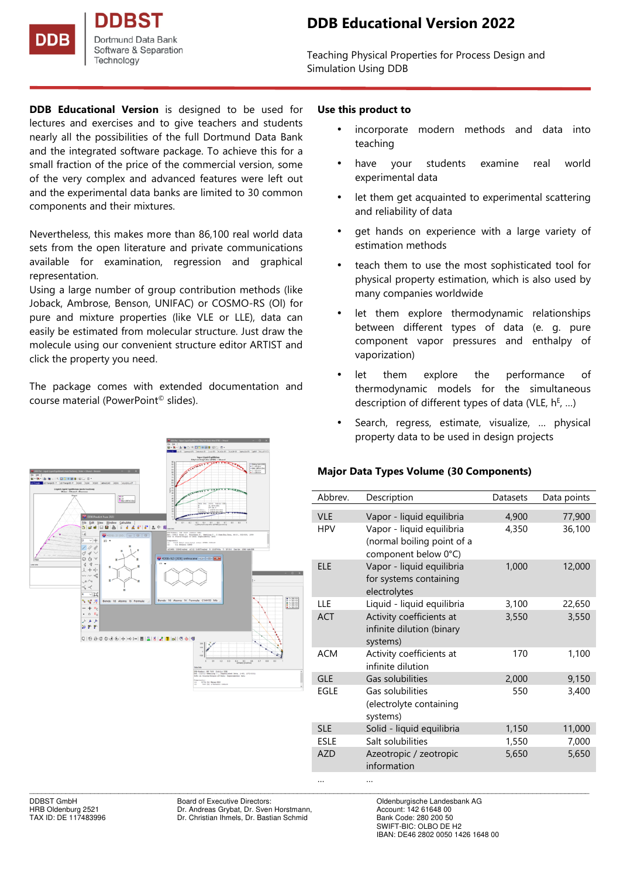

Teaching Physical Properties for Process Design and Simulation Using DDB

**DDB Educational Version** is designed to be used for lectures and exercises and to give teachers and students nearly all the possibilities of the full Dortmund Data Bank and the integrated software package. To achieve this for a small fraction of the price of the commercial version, some of the very complex and advanced features were left out and the experimental data banks are limited to 30 common components and their mixtures.

Nevertheless, this makes more than 86,100 real world data sets from the open literature and private communications available for examination, regression and graphical representation.

Using a large number of group contribution methods (like Joback, Ambrose, Benson, UNIFAC) or COSMO-RS (Ol) for pure and mixture properties (like VLE or LLE), data can easily be estimated from molecular structure. Just draw the molecule using our convenient structure editor ARTIST and click the property you need.

The package comes with extended documentation and course material (PowerPoint© slides).



## **Use this product to**

- incorporate modern methods and data into teaching
- have your students examine real world experimental data
- let them get acquainted to experimental scattering and reliability of data
- get hands on experience with a large variety of estimation methods
- teach them to use the most sophisticated tool for physical property estimation, which is also used by many companies worldwide
- let them explore thermodynamic relationships between different types of data (e. g. pure component vapor pressures and enthalpy of vaporization)
- let them explore the performance of thermodynamic models for the simultaneous description of different types of data (VLE,  $h^E$ , ...)
- Search, regress, estimate, visualize, ... physical property data to be used in design projects

# **Major Data Types Volume (30 Components)**

| Abbrev.     | Description                                                                     | Datasets | Data points |
|-------------|---------------------------------------------------------------------------------|----------|-------------|
| <b>VLE</b>  | Vapor - liquid equilibria                                                       | 4,900    | 77,900      |
| <b>HPV</b>  | Vapor - liquid equilibria<br>(normal boiling point of a<br>component below 0°C) | 4,350    | 36,100      |
| <b>ELE</b>  | Vapor - liquid equilibria<br>for systems containing<br>electrolytes             | 1,000    | 12,000      |
| LLE         | Liquid - liquid equilibria                                                      | 3,100    | 22,650      |
| <b>ACT</b>  | Activity coefficients at<br>infinite dilution (binary<br>systems)               | 3,550    | 3,550       |
| <b>ACM</b>  | Activity coefficients at<br>infinite dilution                                   | 170      | 1,100       |
| <b>GLE</b>  | Gas solubilities                                                                | 2,000    | 9,150       |
| EGLE        | Gas solubilities<br>(electrolyte containing<br>systems)                         | 550      | 3,400       |
| <b>SLE</b>  | Solid - liquid equilibria                                                       | 1,150    | 11,000      |
| <b>ESLE</b> | Salt solubilities                                                               | 1,550    | 7,000       |
| <b>AZD</b>  | Azeotropic / zeotropic<br>information                                           | 5,650    | 5,650       |
|             |                                                                                 |          |             |

\_\_\_\_\_\_\_\_\_\_\_\_\_\_\_\_\_\_\_\_\_\_\_\_\_\_\_\_\_\_\_\_\_\_\_\_\_\_\_\_\_\_\_\_\_\_\_\_\_\_\_\_\_\_\_\_\_\_\_\_\_\_\_\_\_\_\_\_\_\_\_\_\_\_\_\_\_\_\_\_\_\_\_\_\_\_\_\_\_\_\_\_\_\_\_\_\_\_\_\_\_\_\_\_\_\_\_\_\_\_\_\_\_\_\_\_\_\_\_\_\_\_\_\_\_\_\_\_\_\_\_\_\_\_\_\_\_\_ DDBST GmbH Board of Executive Directors: Cambrell Coldenburgische Landesbank AG<br>
Board of Executive Directors: Coldenburg 2521 Chr. Andreas Grybat, Dr. Sven Horstmann, Chr. Account: 142 61648 00 Dr. Andreas Grybat, Dr. Sven Horstmann, TAX ID: DE 117483996 Dr. Christian Ihmels, Dr. Bastian Schmid

Bank Code: 280 200 50<br>SWIFT-BIC: OLBO DE H2 IBAN: DE46 2802 0050 1426 1648 00